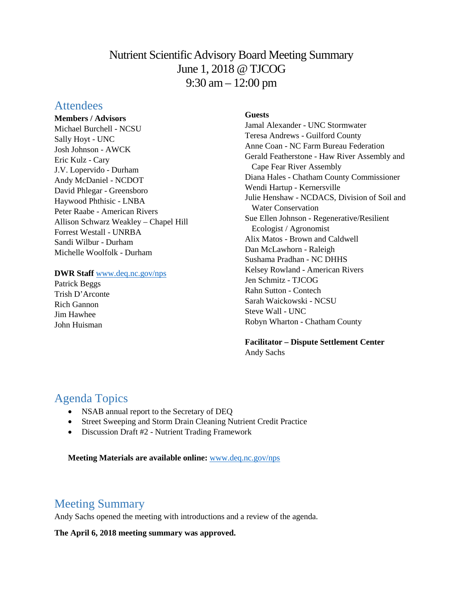# Nutrient Scientific Advisory Board Meeting Summary June 1, 2018 @ TJCOG 9:30 am – 12:00 pm

## **Attendees**

**Members / Advisors** Michael Burchell - NCSU Sally Hoyt - UNC Josh Johnson - AWCK Eric Kulz - Cary J.V. Lopervido - Durham Andy McDaniel - NCDOT David Phlegar - Greensboro Haywood Phthisic - LNBA Peter Raabe - American Rivers Allison Schwarz Weakley – Chapel Hill Forrest Westall - UNRBA Sandi Wilbur - Durham Michelle Woolfolk - Durham

#### **DWR Staff** [www.deq.nc.gov/nps](http://www.deq.nc.gov/nps)

Patrick Beggs Trish D'Arconte Rich Gannon Jim Hawhee John Huisman

### **Guests**

Jamal Alexander - UNC Stormwater Teresa Andrews - Guilford County Anne Coan - NC Farm Bureau Federation Gerald Featherstone - Haw River Assembly and Cape Fear River Assembly Diana Hales - Chatham County Commissioner Wendi Hartup - Kernersville Julie Henshaw - NCDACS, Division of Soil and Water Conservation Sue Ellen Johnson - Regenerative/Resilient Ecologist / Agronomist Alix Matos - Brown and Caldwell Dan McLawhorn - Raleigh Sushama Pradhan - NC DHHS Kelsey Rowland - American Rivers Jen Schmitz - TJCOG Rahn Sutton - Contech Sarah Waickowski - NCSU Steve Wall - UNC Robyn Wharton - Chatham County

**Facilitator – Dispute Settlement Center** Andy Sachs

# Agenda Topics

- NSAB annual report to the Secretary of DEQ
- Street Sweeping and Storm Drain Cleaning Nutrient Credit Practice
- Discussion Draft #2 Nutrient Trading Framework

**Meeting Materials are available online:** [www.deq.nc.gov/nps](https://deq.nc.gov/about/divisions/water-resources/planning/nonpoint-source-management/nutrient-scientific-advisory-board/meeting-documents)

# Meeting Summary

Andy Sachs opened the meeting with introductions and a review of the agenda.

**The April 6, 2018 meeting summary was approved.**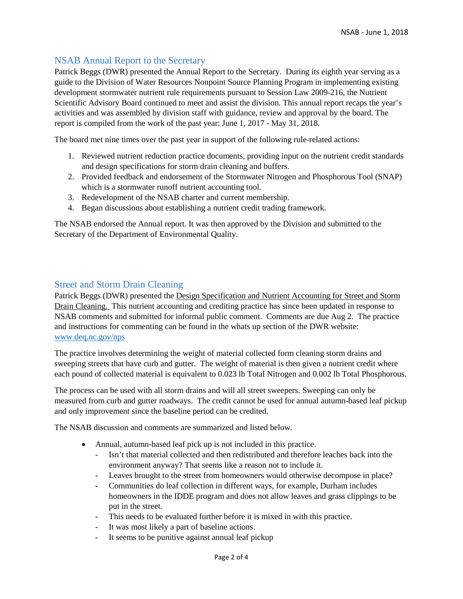### NSAB Annual Report to the Secretary

Patrick Beggs (DWR) presented the Annual Report to the Secretary. During its eighth year serving as a guide to the Division of Water Resources Nonpoint Source Planning Program in implementing existing development stormwater nutrient rule requirements pursuant to Session Law 2009-216, the Nutrient Scientific Advisory Board continued to meet and assist the division. This annual report recaps the year's activities and was assembled by division staff with guidance, review and approval by the board. The report is compiled from the work of the past year: June 1, 2017 - May 31, 2018.

The board met nine times over the past year in support of the following rule-related actions:

- 1. Reviewed nutrient reduction practice documents, providing input on the nutrient credit standards and design specifications for storm drain cleaning and buffers.
- 2. Provided feedback and endorsement of the Stormwater Nitrogen and Phosphorous Tool (SNAP) which is a stormwater runoff nutrient accounting tool.
- 3. Redevelopment of the NSAB charter and current membership.
- 4. Began discussions about establishing a nutrient credit trading framework.

The NSAB endorsed the Annual report. It was then approved by the Division and submitted to the Secretary of the Department of Environmental Quality.

### Street and Storm Drain Cleaning

Patrick Beggs (DWR) presented the Design Specification and Nutrient Accounting for Street and Storm Drain Cleaning. This nutrient accounting and crediting practice has since been updated in response to NSAB comments and submitted for informal public comment. Comments are due Aug 2. The practice and instructions for commenting can be found in the whats up section of the DWR website: [www.deq.nc.gov/nps](file://wv1dnfp01.eads.ncads.net/wqShared/Planning/Nonpoint%20Source/Falls-Jordan/Existing%20D/NSAB/Meetings/2018.06.01/www.deq.nc.gov/nps)

The practice involves determining the weight of material collected form cleaning storm drains and sweeping streets that have curb and gutter. The weight of material is then given a nutrient credit where each pound of collected material is equivalent to 0.023 lb Total Nitrogen and 0.002 lb Total Phosphorous.

The process can be used with all storm drains and will all street sweepers. Sweeping can only be measured from curb and gutter roadways. The credit cannot be used for annual autumn-based leaf pickup and only improvement since the baseline period can be credited.

The NSAB discussion and comments are summarized and listed below.

- Annual, autumn-based leaf pick up is not included in this practice.
	- Isn't that material collected and then redistributed and therefore leaches back into the environment anyway? That seems like a reason not to include it.
	- Leaves brought to the street from homeowners would otherwise decompose in place?
	- Communities do leaf collection in different ways, for example, Durham includes homeowners in the IDDE program and does not allow leaves and grass clippings to be put in the street.
	- This needs to be evaluated further before it is mixed in with this practice.
	- It was most likely a part of baseline actions.
	- It seems to be punitive against annual leaf pickup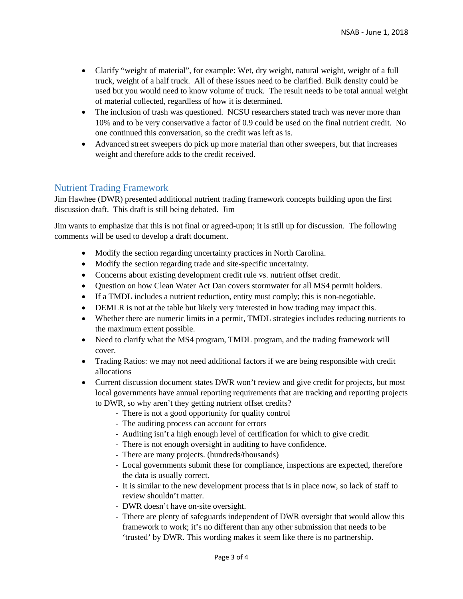- Clarify "weight of material", for example: Wet, dry weight, natural weight, weight of a full truck, weight of a half truck. All of these issues need to be clarified. Bulk density could be used but you would need to know volume of truck. The result needs to be total annual weight of material collected, regardless of how it is determined.
- The inclusion of trash was questioned. NCSU researchers stated trach was never more than 10% and to be very conservative a factor of 0.9 could be used on the final nutrient credit. No one continued this conversation, so the credit was left as is.
- Advanced street sweepers do pick up more material than other sweepers, but that increases weight and therefore adds to the credit received.

### Nutrient Trading Framework

Jim Hawhee (DWR) presented additional nutrient trading framework concepts building upon the first discussion draft. This draft is still being debated. Jim

Jim wants to emphasize that this is not final or agreed-upon; it is still up for discussion. The following comments will be used to develop a draft document.

- Modify the section regarding uncertainty practices in North Carolina.
- Modify the section regarding trade and site-specific uncertainty.
- Concerns about existing development credit rule vs. nutrient offset credit.
- Question on how Clean Water Act Dan covers stormwater for all MS4 permit holders.
- If a TMDL includes a nutrient reduction, entity must comply; this is non-negotiable.
- DEMLR is not at the table but likely very interested in how trading may impact this.
- Whether there are numeric limits in a permit, TMDL strategies includes reducing nutrients to the maximum extent possible.
- Need to clarify what the MS4 program, TMDL program, and the trading framework will cover.
- Trading Ratios: we may not need additional factors if we are being responsible with credit allocations
- Current discussion document states DWR won't review and give credit for projects, but most local governments have annual reporting requirements that are tracking and reporting projects to DWR, so why aren't they getting nutrient offset credits?
	- There is not a good opportunity for quality control
	- The auditing process can account for errors
	- Auditing isn't a high enough level of certification for which to give credit.
	- There is not enough oversight in auditing to have confidence.
	- There are many projects. (hundreds/thousands)
	- Local governments submit these for compliance, inspections are expected, therefore the data is usually correct.
	- It is similar to the new development process that is in place now, so lack of staff to review shouldn't matter.
	- DWR doesn't have on-site oversight.
	- Tthere are plenty of safeguards independent of DWR oversight that would allow this framework to work; it's no different than any other submission that needs to be 'trusted' by DWR. This wording makes it seem like there is no partnership.